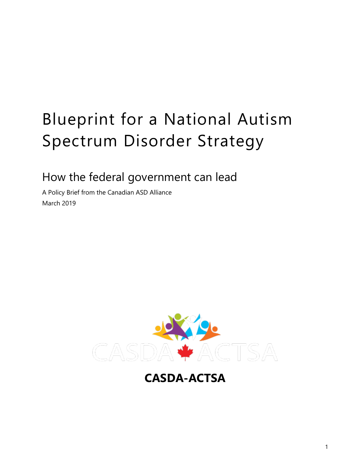# Blueprint for a National Autism Spectrum Disorder Strategy

How the federal government can lead

A Policy Brief from the Canadian ASD Alliance March 2019



**CASDA-ACTSA**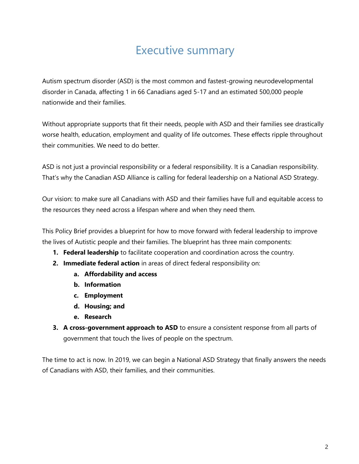## Executive summary

Autism spectrum disorder (ASD) is the most common and fastest-growing neurodevelopmental disorder in Canada, affecting 1 in 66 Canadians aged 5-17 and an estimated 500,000 people nationwide and their families.

Without appropriate supports that fit their needs, people with ASD and their families see drastically worse health, education, employment and quality of life outcomes. These effects ripple throughout their communities. We need to do better.

ASD is not just a provincial responsibility or a federal responsibility. It is a Canadian responsibility. That's why the Canadian ASD Alliance is calling for federal leadership on a National ASD Strategy.

Our vision: to make sure all Canadians with ASD and their families have full and equitable access to the resources they need across a lifespan where and when they need them.

This Policy Brief provides a blueprint for how to move forward with federal leadership to improve the lives of Autistic people and their families. The blueprint has three main components:

- **1. Federal leadership** to facilitate cooperation and coordination across the country.
- **2. Immediate federal action** in areas of direct federal responsibility on:
	- **a. Affordability and access**
	- **b. Information**
	- **c. Employment**
	- **d. Housing; and**
	- **e. Research**
- **3. A cross-government approach to ASD** to ensure a consistent response from all parts of government that touch the lives of people on the spectrum.

The time to act is now. In 2019, we can begin a National ASD Strategy that finally answers the needs of Canadians with ASD, their families, and their communities.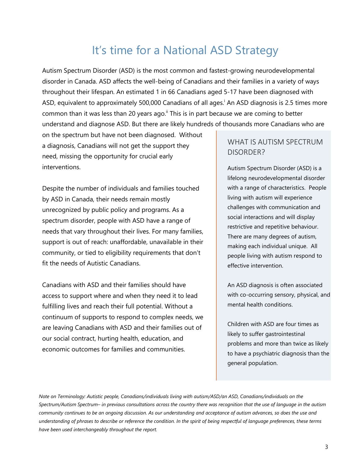## It's time for a National ASD Strategy

Autism Spectrum Disorder (ASD) is the most common and fastest-growing neurodevelopmental disorder in Canada. ASD affects the well-being of Canadians and their families in a variety of ways throughout their lifespan. An estimated 1 in 66 Canadians aged 5-17 have been diagnosed with ASD, equivalent to approximately 500,000 Canadians of all ages.<sup>i</sup> An ASD diagnosis is 2.5 times more common than it was less than 20 years ago. $\mathrm{H}$  This is in part because we are coming to better understand and diagnose ASD. But there are likely hundreds of thousands more Canadians who are

on the spectrum but have not been diagnosed. Without a diagnosis, Canadians will not get the support they need, missing the opportunity for crucial early interventions.

Despite the number of individuals and families touched by ASD in Canada, their needs remain mostly unrecognized by public policy and programs. As a spectrum disorder, people with ASD have a range of needs that vary throughout their lives. For many families, support is out of reach: unaffordable, unavailable in their community, or tied to eligibility requirements that don't fit the needs of Autistic Canadians.

Canadians with ASD and their families should have access to support where and when they need it to lead fulfilling lives and reach their full potential. Without a continuum of supports to respond to complex needs, we are leaving Canadians with ASD and their families out of our social contract, hurting health, education, and economic outcomes for families and communities.

#### WHAT IS AUTISM SPECTRUM DISORDER?

Autism Spectrum Disorder (ASD) is a lifelong neurodevelopmental disorder with a range of characteristics. People living with autism will experience challenges with communication and social interactions and will display restrictive and repetitive behaviour. There are many degrees of autism, making each individual unique. All people living with autism respond to effective intervention.

An ASD diagnosis is often associated with co-occurring sensory, physical, and mental health conditions.

Children with ASD are four times as likely to suffer gastrointestinal problems and more than twice as likely to have a psychiatric diagnosis than the general population.

*Note on Terminology: Autistic people, Canadians/individuals living with autism/ASD/an ASD, Canadians/individuals on the Spectrum/Autism Spectrum– in previous consultations across the country there was recognition that the use of language in the autism community continues to be an ongoing discussion. As our understanding and acceptance of autism advances, so does the use and understanding of phrases to describe or reference the condition. In the spirit of being respectful of language preferences, these terms have been used interchangeably throughout the report.*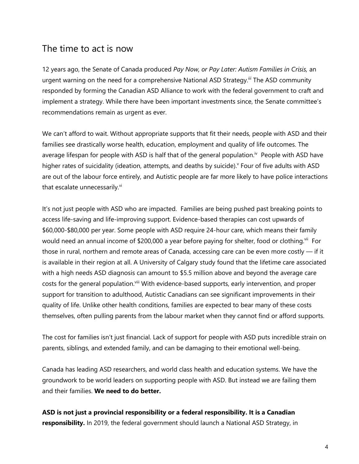#### The time to act is now

12 years ago, the Senate of Canada produced *Pay Now, or Pay Later: Autism Families in Crisis,* an urgent warning on the need for a comprehensive National ASD Strategy.*iii* The ASD community responded by forming the Canadian ASD Alliance to work with the federal government to craft and implement a strategy. While there have been important investments since, the Senate committee's recommendations remain as urgent as ever.

We can't afford to wait. Without appropriate supports that fit their needs, people with ASD and their families see drastically worse health, education, employment and quality of life outcomes. The average lifespan for people with ASD is half that of the general population.<sup>iv</sup> People with ASD have higher rates of suicidality (ideation, attempts, and deaths by suicide). Four of five adults with ASD are out of the labour force entirely, and Autistic people are far more likely to have police interactions that escalate unnecessarily.<sup>vi</sup>

It's not just people with ASD who are impacted. Families are being pushed past breaking points to access life-saving and life-improving support. Evidence-based therapies can cost upwards of \$60,000-\$80,000 per year. Some people with ASD require 24-hour care, which means their family would need an annual income of \$200,000 a year before paying for shelter, food or clothing.<sup>vii</sup> For those in rural, northern and remote areas of Canada, accessing care can be even more costly — if it is available in their region at all. A University of Calgary study found that the lifetime care associated with a high needs ASD diagnosis can amount to \$5.5 million above and beyond the average care costs for the general population.<sup>viii</sup> With evidence-based supports, early intervention, and proper support for transition to adulthood, Autistic Canadians can see significant improvements in their quality of life. Unlike other health conditions, families are expected to bear many of these costs themselves, often pulling parents from the labour market when they cannot find or afford supports.

The cost for families isn't just financial. Lack of support for people with ASD puts incredible strain on parents, siblings, and extended family, and can be damaging to their emotional well-being.

Canada has leading ASD researchers, and world class health and education systems. We have the groundwork to be world leaders on supporting people with ASD. But instead we are failing them and their families. **We need to do better.** 

**ASD is not just a provincial responsibility or a federal responsibility. It is a Canadian responsibility.** In 2019, the federal government should launch a National ASD Strategy, in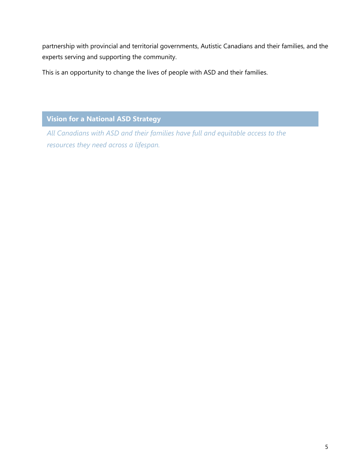partnership with provincial and territorial governments, Autistic Canadians and their families, and the experts serving and supporting the community.

This is an opportunity to change the lives of people with ASD and their families.

**Vision for a National ASD Strategy**

*All Canadians with ASD and their families have full and equitable access to the resources they need across a lifespan.*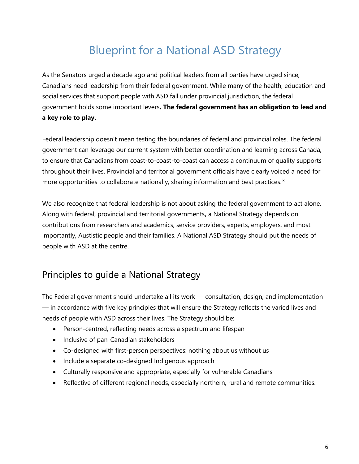## Blueprint for a National ASD Strategy

As the Senators urged a decade ago and political leaders from all parties have urged since, Canadians need leadership from their federal government. While many of the health, education and social services that support people with ASD fall under provincial jurisdiction, the federal government holds some important levers**. The federal government has an obligation to lead and a key role to play.** 

Federal leadership doesn't mean testing the boundaries of federal and provincial roles. The federal government can leverage our current system with better coordination and learning across Canada, to ensure that Canadians from coast-to-coast-to-coast can access a continuum of quality supports throughout their lives. Provincial and territorial government officials have clearly voiced a need for more opportunities to collaborate nationally, sharing information and best practices.<sup>ix</sup>

We also recognize that federal leadership is not about asking the federal government to act alone. Along with federal, provincial and territorial governments**,** a National Strategy depends on contributions from researchers and academics, service providers, experts, employers, and most importantly, Austistic people and their families. A National ASD Strategy should put the needs of people with ASD at the centre.

### Principles to guide a National Strategy

The Federal government should undertake all its work — consultation, design, and implementation — in accordance with five key principles that will ensure the Strategy reflects the varied lives and needs of people with ASD across their lives. The Strategy should be:

- Person-centred, reflecting needs across a spectrum and lifespan
- Inclusive of pan-Canadian stakeholders
- Co-designed with first-person perspectives: nothing about us without us
- Include a separate co-designed Indigenous approach
- Culturally responsive and appropriate, especially for vulnerable Canadians
- Reflective of different regional needs, especially northern, rural and remote communities.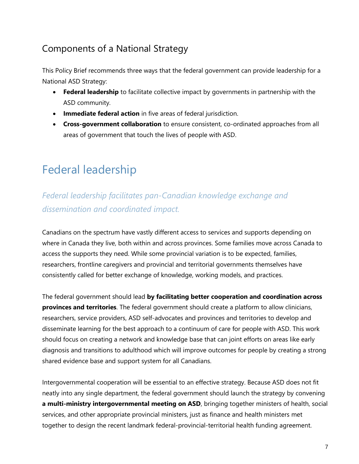### Components of a National Strategy

This Policy Brief recommends three ways that the federal government can provide leadership for a National ASD Strategy:

- **Federal leadership** to facilitate collective impact by governments in partnership with the ASD community.
- **Immediate federal action** in five areas of federal jurisdiction.
- **Cross-government collaboration** to ensure consistent, co-ordinated approaches from all areas of government that touch the lives of people with ASD.

## Federal leadership

### *Federal leadership facilitates pan-Canadian knowledge exchange and dissemination and coordinated impact.*

Canadians on the spectrum have vastly different access to services and supports depending on where in Canada they live, both within and across provinces. Some families move across Canada to access the supports they need. While some provincial variation is to be expected, families, researchers, frontline caregivers and provincial and territorial governments themselves have consistently called for better exchange of knowledge, working models, and practices.

The federal government should lead **by facilitating better cooperation and coordination across provinces and territories**. The federal government should create a platform to allow clinicians, researchers, service providers, ASD self-advocates and provinces and territories to develop and disseminate learning for the best approach to a continuum of care for people with ASD. This work should focus on creating a network and knowledge base that can joint efforts on areas like early diagnosis and transitions to adulthood which will improve outcomes for people by creating a strong shared evidence base and support system for all Canadians.

Intergovernmental cooperation will be essential to an effective strategy. Because ASD does not fit neatly into any single department, the federal government should launch the strategy by convening **a multi-ministry intergovernmental meeting on ASD**, bringing together ministers of health, social services, and other appropriate provincial ministers, just as finance and health ministers met together to design the recent landmark federal-provincial-territorial health funding agreement.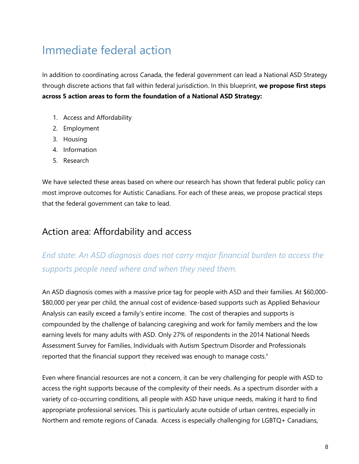## Immediate federal action

In addition to coordinating across Canada, the federal government can lead a National ASD Strategy through discrete actions that fall within federal jurisdiction. In this blueprint, **we propose first steps across 5 action areas to form the foundation of a National ASD Strategy:**

- 1. Access and Affordability
- 2. Employment
- 3. Housing
- 4. Information
- 5. Research

We have selected these areas based on where our research has shown that federal public policy can most improve outcomes for Autistic Canadians. For each of these areas, we propose practical steps that the federal government can take to lead.

### Action area: Affordability and access

### *End state: An ASD diagnosis does not carry major financial burden to access the supports people need where and when they need them.*

An ASD diagnosis comes with a massive price tag for people with ASD and their families. At \$60,000- \$80,000 per year per child, the annual cost of evidence-based supports such as Applied Behaviour Analysis can easily exceed a family's entire income. The cost of therapies and supports is compounded by the challenge of balancing caregiving and work for family members and the low earning levels for many adults with ASD. Only 27% of respondents in the 2014 National Needs Assessment Survey for Families, Individuals with Autism Spectrum Disorder and Professionals reported that the financial support they received was enough to manage costs. $x$ 

Even where financial resources are not a concern, it can be very challenging for people with ASD to access the right supports because of the complexity of their needs. As a spectrum disorder with a variety of co-occurring conditions, all people with ASD have unique needs, making it hard to find appropriate professional services. This is particularly acute outside of urban centres, especially in Northern and remote regions of Canada. Access is especially challenging for LGBTQ+ Canadians,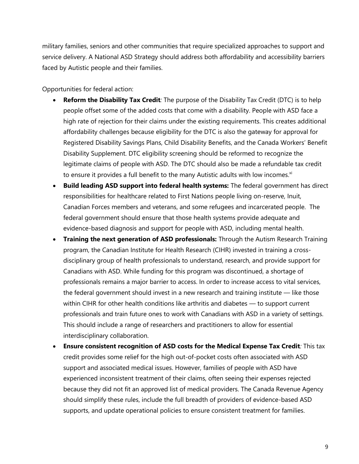military families, seniors and other communities that require specialized approaches to support and service delivery. A National ASD Strategy should address both affordability and accessibility barriers faced by Autistic people and their families.

Opportunities for federal action:

- **Reform the Disability Tax Credit***:* The purpose of the Disability Tax Credit (DTC) is to help people offset some of the added costs that come with a disability. People with ASD face a high rate of rejection for their claims under the existing requirements. This creates additional affordability challenges because eligibility for the DTC is also the gateway for approval for Registered Disability Savings Plans, Child Disability Benefits, and the Canada Workers' Benefit Disability Supplement. DTC eligibility screening should be reformed to recognize the legitimate claims of people with ASD. The DTC should also be made a refundable tax credit to ensure it provides a full benefit to the many Autistic adults with low incomes. $x_i$
- **Build leading ASD support into federal health systems:** The federal government has direct responsibilities for healthcare related to First Nations people living on-reserve, Inuit, Canadian Forces members and veterans, and some refugees and incarcerated people. The federal government should ensure that those health systems provide adequate and evidence-based diagnosis and support for people with ASD, including mental health.
- **Training the next generation of ASD professionals:** Through the Autism Research Training program, the Canadian Institute for Health Research (CIHR) invested in training a crossdisciplinary group of health professionals to understand, research, and provide support for Canadians with ASD. While funding for this program was discontinued, a shortage of professionals remains a major barrier to access. In order to increase access to vital services, the federal government should invest in a new research and training institute — like those within CIHR for other health conditions like arthritis and diabetes — to support current professionals and train future ones to work with Canadians with ASD in a variety of settings. This should include a range of researchers and practitioners to allow for essential interdisciplinary collaboration.
- **Ensure consistent recognition of ASD costs for the Medical Expense Tax Credit***:* This tax credit provides some relief for the high out-of-pocket costs often associated with ASD support and associated medical issues. However, families of people with ASD have experienced inconsistent treatment of their claims, often seeing their expenses rejected because they did not fit an approved list of medical providers. The Canada Revenue Agency should simplify these rules, include the full breadth of providers of evidence-based ASD supports, and update operational policies to ensure consistent treatment for families.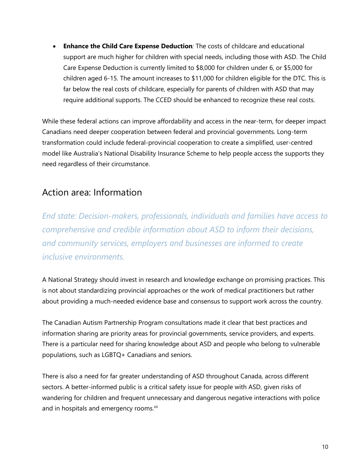• **Enhance the Child Care Expense Deduction***:* The costs of childcare and educational support are much higher for children with special needs, including those with ASD. The Child Care Expense Deduction is currently limited to \$8,000 for children under 6, or \$5,000 for children aged 6-15. The amount increases to \$11,000 for children eligible for the DTC. This is far below the real costs of childcare, especially for parents of children with ASD that may require additional supports. The CCED should be enhanced to recognize these real costs.

While these federal actions can improve affordability and access in the near-term, for deeper impact Canadians need deeper cooperation between federal and provincial governments. Long-term transformation could include federal-provincial cooperation to create a simplified, user-centred model like Australia's National Disability Insurance Scheme to help people access the supports they need regardless of their circumstance.

### Action area: Information

*End state: Decision-makers, professionals, individuals and families have access to comprehensive and credible information about ASD to inform their decisions, and community services, employers and businesses are informed to create inclusive environments.* 

A National Strategy should invest in research and knowledge exchange on promising practices. This is not about standardizing provincial approaches or the work of medical practitioners but rather about providing a much-needed evidence base and consensus to support work across the country.

The Canadian Autism Partnership Program consultations made it clear that best practices and information sharing are priority areas for provincial governments, service providers, and experts. There is a particular need for sharing knowledge about ASD and people who belong to vulnerable populations, such as LGBTQ+ Canadians and seniors.

There is also a need for far greater understanding of ASD throughout Canada, across different sectors. A better-informed public is a critical safety issue for people with ASD, given risks of wandering for children and frequent unnecessary and dangerous negative interactions with police and in hospitals and emergency rooms.<sup>xii</sup>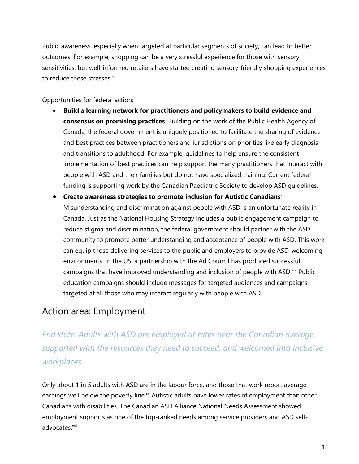Public awareness, especially when targeted at particular segments of society, can lead to better outcomes. For example, shopping can be a very stressful experience for those with sensory sensitivities, but well-informed retailers have started creating sensory-friendly shopping experiences to reduce these stresses.<sup>xiii</sup>

Opportunities for federal action:

- **Build a learning network for practitioners and policymakers to build evidence and consensus on promising practices***:* Building on the work of the Public Health Agency of Canada, the federal government is uniquely positioned to facilitate the sharing of evidence and best practices between practitioners and jurisdictions on priorities like early diagnosis and transitions to adulthood. For example, guidelines to help ensure the consistent implementation of best practices can help support the many practitioners that interact with people with ASD and their families but do not have specialized training. Current federal funding is supporting work by the Canadian Paediatric Society to develop ASD guidelines.
- **Create awareness strategies to promote inclusion for Autistic Canadians***:* Misunderstanding and discrimination against people with ASD is an unfortunate reality in Canada. Just as the National Housing Strategy includes a public engagement campaign to reduce stigma and discrimination, the federal government should partner with the ASD community to promote better understanding and acceptance of people with ASD. This work can equip those delivering services to the public and employers to provide ASD-welcoming environments. In the US, a partnership with the Ad Council has produced successful campaigns that have improved understanding and inclusion of people with ASD.<sup>xiv</sup> Public education campaigns should include messages for targeted audiences and campaigns targeted at all those who may interact regularly with people with ASD.

### Action area: Employment

*End state: Adults with ASD are employed at rates near the Canadian average, supported with the resources they need to succeed, and welcomed into inclusive workplaces.* 

Only about 1 in 5 adults with ASD are in the labour force, and those that work report average earnings well below the poverty line.<sup>xv</sup> Autistic adults have lower rates of employment than other Canadians with disabilities. The Canadian ASD Alliance National Needs Assessment showed employment supports as one of the top-ranked needs among service providers and ASD selfadvocates.<sup>xvi</sup>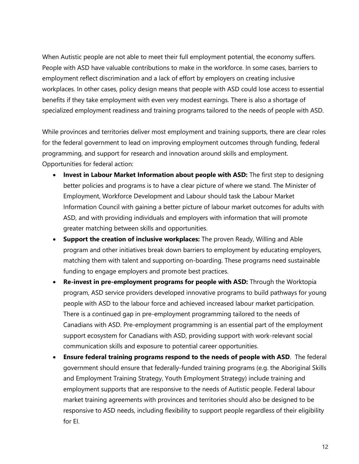When Autistic people are not able to meet their full employment potential, the economy suffers. People with ASD have valuable contributions to make in the workforce. In some cases, barriers to employment reflect discrimination and a lack of effort by employers on creating inclusive workplaces. In other cases, policy design means that people with ASD could lose access to essential benefits if they take employment with even very modest earnings. There is also a shortage of specialized employment readiness and training programs tailored to the needs of people with ASD.

While provinces and territories deliver most employment and training supports, there are clear roles for the federal government to lead on improving employment outcomes through funding, federal programming, and support for research and innovation around skills and employment. Opportunities for federal action:

- **Invest in Labour Market Information about people with ASD:** The first step to designing better policies and programs is to have a clear picture of where we stand. The Minister of Employment, Workforce Development and Labour should task the Labour Market Information Council with gaining a better picture of labour market outcomes for adults with ASD, and with providing individuals and employers with information that will promote greater matching between skills and opportunities.
- **Support the creation of inclusive workplaces:** The proven Ready, Willing and Able program and other initiatives break down barriers to employment by educating employers, matching them with talent and supporting on-boarding. These programs need sustainable funding to engage employers and promote best practices.
- **Re-invest in pre-employment programs for people with ASD:** Through the Worktopia program, ASD service providers developed innovative programs to build pathways for young people with ASD to the labour force and achieved increased labour market participation. There is a continued gap in pre-employment programming tailored to the needs of Canadians with ASD. Pre-employment programming is an essential part of the employment support ecosystem for Canadians with ASD, providing support with work-relevant social communication skills and exposure to potential career opportunities.
- **Ensure federal training programs respond to the needs of people with ASD**. The federal government should ensure that federally-funded training programs (e.g. the Aboriginal Skills and Employment Training Strategy, Youth Employment Strategy) include training and employment supports that are responsive to the needs of Autistic people. Federal labour market training agreements with provinces and territories should also be designed to be responsive to ASD needs, including flexibility to support people regardless of their eligibility for EI.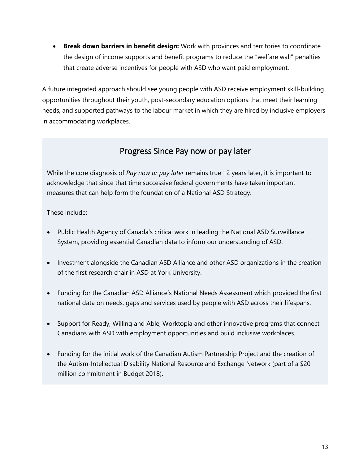• **Break down barriers in benefit design:** Work with provinces and territories to coordinate the design of income supports and benefit programs to reduce the "welfare wall" penalties that create adverse incentives for people with ASD who want paid employment.

A future integrated approach should see young people with ASD receive employment skill-building opportunities throughout their youth, post-secondary education options that meet their learning needs, and supported pathways to the labour market in which they are hired by inclusive employers in accommodating workplaces.

#### Progress Since Pay now or pay later

While the core diagnosis of *Pay now or pay later* remains true 12 years later, it is important to acknowledge that since that time successive federal governments have taken important measures that can help form the foundation of a National ASD Strategy.

These include:

- Public Health Agency of Canada's critical work in leading the National ASD Surveillance System, providing essential Canadian data to inform our understanding of ASD.
- Investment alongside the Canadian ASD Alliance and other ASD organizations in the creation of the first research chair in ASD at York University.
- Funding for the Canadian ASD Alliance's National Needs Assessment which provided the first national data on needs, gaps and services used by people with ASD across their lifespans.
- Support for Ready, Willing and Able, Worktopia and other innovative programs that connect Canadians with ASD with employment opportunities and build inclusive workplaces.
- Funding for the initial work of the Canadian Autism Partnership Project and the creation of the Autism-Intellectual Disability National Resource and Exchange Network (part of a \$20 million commitment in Budget 2018).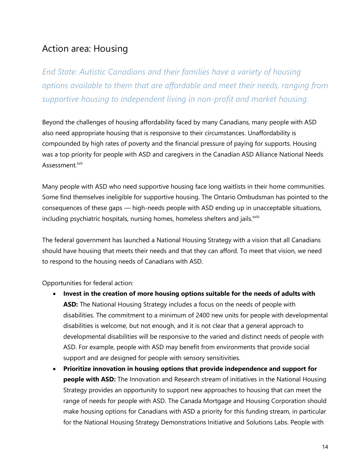### Action area: Housing

*End State: Autistic Canadians and their families have a variety of housing options available to them that are affordable and meet their needs, ranging from supportive housing to independent living in non-profit and market housing.*

Beyond the challenges of housing affordability faced by many Canadians, many people with ASD also need appropriate housing that is responsive to their circumstances. Unaffordability is compounded by high rates of poverty and the financial pressure of paying for supports. Housing was a top priority for people with ASD and caregivers in the Canadian ASD Alliance National Needs Assessment.<sup>xvii</sup>

Many people with ASD who need supportive housing face long waitlists in their home communities. Some find themselves ineligible for supportive housing. The Ontario Ombudsman has pointed to the consequences of these gaps — high-needs people with ASD ending up in unacceptable situations, including psychiatric hospitals, nursing homes, homeless shelters and jails.<sup>xviii</sup>

The federal government has launched a National Housing Strategy with a vision that all Canadians should have housing that meets their needs and that they can afford. To meet that vision, we need to respond to the housing needs of Canadians with ASD.

Opportunities for federal action:

- **Invest in the creation of more housing options suitable for the needs of adults with ASD:** The National Housing Strategy includes a focus on the needs of people with disabilities. The commitment to a minimum of 2400 new units for people with developmental disabilities is welcome, but not enough, and it is not clear that a general approach to developmental disabilities will be responsive to the varied and distinct needs of people with ASD. For example, people with ASD may benefit from environments that provide social support and are designed for people with sensory sensitivities.
- **Prioritize innovation in housing options that provide independence and support for people with ASD:** The Innovation and Research stream of initiatives in the National Housing Strategy provides an opportunity to support new approaches to housing that can meet the range of needs for people with ASD. The Canada Mortgage and Housing Corporation should make housing options for Canadians with ASD a priority for this funding stream, in particular for the National Housing Strategy Demonstrations Initiative and Solutions Labs. People with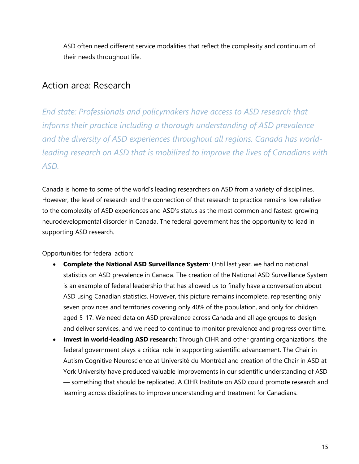ASD often need different service modalities that reflect the complexity and continuum of their needs throughout life.

#### Action area: Research

*End state: Professionals and policymakers have access to ASD research that informs their practice including a thorough understanding of ASD prevalence and the diversity of ASD experiences throughout all regions. Canada has worldleading research on ASD that is mobilized to improve the lives of Canadians with ASD.*

Canada is home to some of the world's leading researchers on ASD from a variety of disciplines. However, the level of research and the connection of that research to practice remains low relative to the complexity of ASD experiences and ASD's status as the most common and fastest-growing neurodevelopmental disorder in Canada. The federal government has the opportunity to lead in supporting ASD research.

Opportunities for federal action:

- **Complete the National ASD Surveillance System***:* Until last year, we had no national statistics on ASD prevalence in Canada. The creation of the National ASD Surveillance System is an example of federal leadership that has allowed us to finally have a conversation about ASD using Canadian statistics. However, this picture remains incomplete, representing only seven provinces and territories covering only 40% of the population, and only for children aged 5-17. We need data on ASD prevalence across Canada and all age groups to design and deliver services, and we need to continue to monitor prevalence and progress over time.
- **Invest in world-leading ASD research:** Through CIHR and other granting organizations, the federal government plays a critical role in supporting scientific advancement. The Chair in Autism Cognitive Neuroscience at Université du Montréal and creation of the Chair in ASD at York University have produced valuable improvements in our scientific understanding of ASD — something that should be replicated. A CIHR Institute on ASD could promote research and learning across disciplines to improve understanding and treatment for Canadians.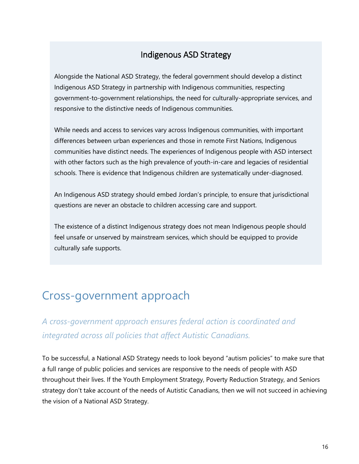#### Indigenous ASD Strategy

Alongside the National ASD Strategy, the federal government should develop a distinct Indigenous ASD Strategy in partnership with Indigenous communities, respecting government-to-government relationships, the need for culturally-appropriate services, and responsive to the distinctive needs of Indigenous communities.

While needs and access to services vary across Indigenous communities, with important differences between urban experiences and those in remote First Nations, Indigenous communities have distinct needs. The experiences of Indigenous people with ASD intersect with other factors such as the high prevalence of youth-in-care and legacies of residential schools. There is evidence that Indigenous children are systematically under-diagnosed.

An Indigenous ASD strategy should embed Jordan's principle, to ensure that jurisdictional questions are never an obstacle to children accessing care and support.

The existence of a distinct Indigenous strategy does not mean Indigenous people should feel unsafe or unserved by mainstream services, which should be equipped to provide culturally safe supports.

## Cross-government approach

*A cross-government approach ensures federal action is coordinated and integrated across all policies that affect Autistic Canadians.*

To be successful, a National ASD Strategy needs to look beyond "autism policies" to make sure that a full range of public policies and services are responsive to the needs of people with ASD throughout their lives. If the Youth Employment Strategy, Poverty Reduction Strategy, and Seniors strategy don't take account of the needs of Autistic Canadians, then we will not succeed in achieving the vision of a National ASD Strategy.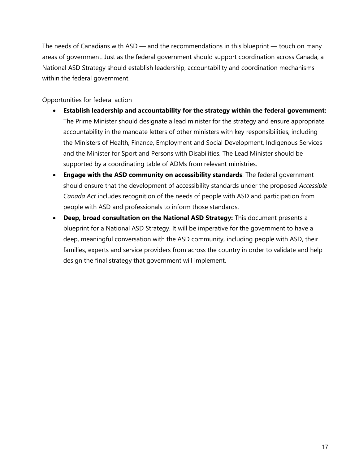The needs of Canadians with ASD — and the recommendations in this blueprint — touch on many areas of government. Just as the federal government should support coordination across Canada, a National ASD Strategy should establish leadership, accountability and coordination mechanisms within the federal government.

Opportunities for federal action

- **Establish leadership and accountability for the strategy within the federal government:** The Prime Minister should designate a lead minister for the strategy and ensure appropriate accountability in the mandate letters of other ministers with key responsibilities, including the Ministers of Health, Finance, Employment and Social Development, Indigenous Services and the Minister for Sport and Persons with Disabilities. The Lead Minister should be supported by a coordinating table of ADMs from relevant ministries.
- **Engage with the ASD community on accessibility standards**: The federal government should ensure that the development of accessibility standards under the proposed *Accessible Canada Act* includes recognition of the needs of people with ASD and participation from people with ASD and professionals to inform those standards.
- **Deep, broad consultation on the National ASD Strategy:** This document presents a blueprint for a National ASD Strategy. It will be imperative for the government to have a deep, meaningful conversation with the ASD community, including people with ASD, their families, experts and service providers from across the country in order to validate and help design the final strategy that government will implement.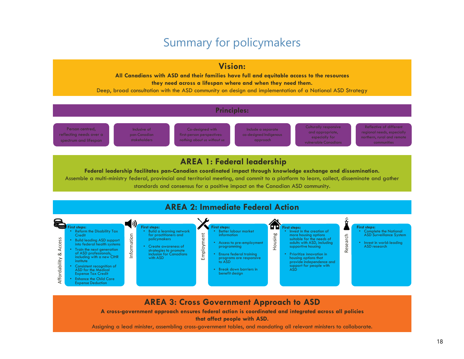## Summary for policymakers

#### **Vision:**

**All Canadians with ASD and their families have full and equitable access to the resources they need across a lifespan where and when they need them.**

Deep, broad consultation with the ASD community on design and implementation of a National ASD Strategy

#### **Principles:**

Person centred, reflecting needs over a spectrum and lifespan

Inclusive of pan-Canadian stakeholders

Co-designed with first-person perspectives: *nothing about us without us*

Include a separate co-designed Indigenous approach

Culturally responsive and appropriate, especially for

Reflective of different regional needs, especially northern, rural and remote communities

#### **AREA 1: Federal leadership**

**Federal leadership facilitates pan-Canadian coordinated impact through knowledge exchange and dissemination.**

Assemble a multi-ministry federal, provincial and territorial meeting, and commit to a platform to learn, collect, disseminate and gather standards and consensus for a positive impact on the Canadian ASD community.



#### **AREA 3: Cross Government Approach to ASD**

**A cross-government approach ensures federal action is coordinated and integrated across all policies**

**that affect people with ASD.**

Assigning a lead minister, assembling cross-government tables, and mandating all relevant ministers to collaborate.